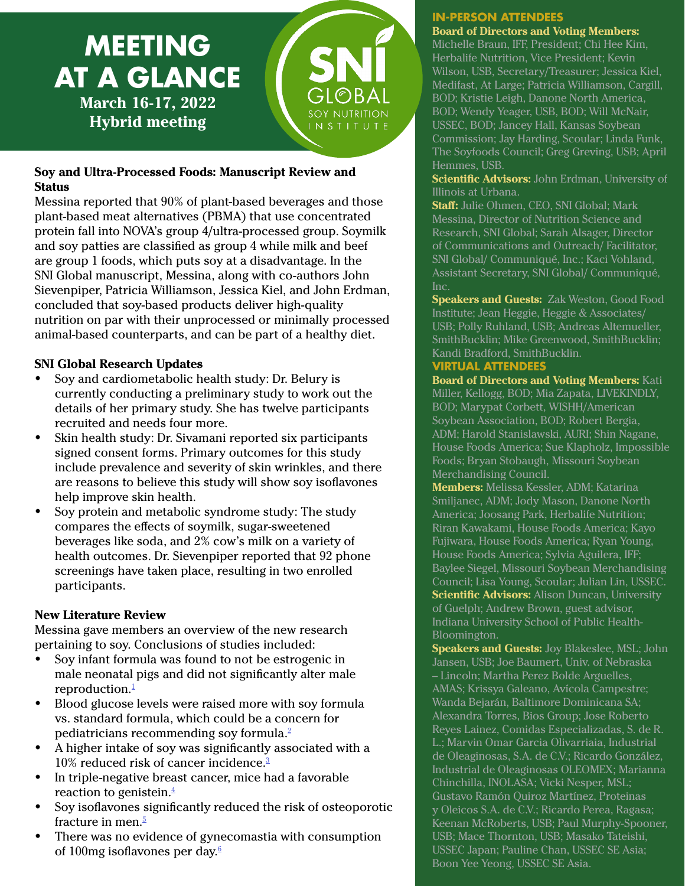

## **Soy and Ultra-Processed Foods: Manuscript Review and Status**

Messina reported that 90% of plant-based beverages and those plant-based meat alternatives (PBMA) that use concentrated protein fall into NOVA's group 4/ultra-processed group. Soymilk and soy patties are classified as group 4 while milk and beef are group 1 foods, which puts soy at a disadvantage. In the SNI Global manuscript, Messina, along with co-authors John Sievenpiper, Patricia Williamson, Jessica Kiel, and John Erdman, concluded that soy-based products deliver high-quality nutrition on par with their unprocessed or minimally processed animal-based counterparts, and can be part of a healthy diet.

#### **SNI Global Research Updates**

- Soy and cardiometabolic health study: Dr. Belury is currently conducting a preliminary study to work out the details of her primary study. She has twelve participants recruited and needs four more.
- Skin health study: Dr. Sivamani reported six participants signed consent forms. Primary outcomes for this study include prevalence and severity of skin wrinkles, and there are reasons to believe this study will show soy isoflavones help improve skin health.
- Soy protein and metabolic syndrome study: The study compares the effects of soymilk, sugar-sweetened beverages like soda, and 2% cow's milk on a variety of health outcomes. Dr. Sievenpiper reported that 92 phone screenings have taken place, resulting in two enrolled participants.

### **New Literature Review**

Messina gave members an overview of the new research pertaining to soy. Conclusions of studies included:

- Soy infant formula was found to not be estrogenic in male neonatal pigs and did not significantly alter male reproduction. $\frac{1}{1}$
- Blood glucose levels were raised more with soy formula vs. standard formula, which could be a concern for pediatricians recommending soy formula.2
- A higher intake of soy was significantly associated with a 10% reduced risk of cancer incidence.<sup>3</sup>
- In triple-negative breast cancer, mice had a favorable reaction to genistein. $\frac{4}{3}$
- Soy isoflavones significantly reduced the risk of osteoporotic fracture in men.<sup>5</sup>
- There was no evidence of gynecomastia with consumption of 100mg isoflavones per day. $\frac{6}{5}$

# **IN-PERSON ATTENDEES**

**Board of Directors and Voting Members:**  Michelle Braun, IFF, President; Chi Hee Kim, Herbalife Nutrition, Vice President; Kevin Wilson, USB, Secretary/Treasurer; Jessica Kiel, Medifast, At Large; Patricia Williamson, Cargill, BOD; Kristie Leigh, Danone North America, BOD; Wendy Yeager, USB, BOD; Will McNair, USSEC, BOD; Jancey Hall, Kansas Soybean Commission; Jay Harding, Scoular; Linda Funk, The Soyfoods Council; Greg Greving, USB; April Hemmes, USB.

**Scientific Advisors:** John Erdman, University of Illinois at Urbana.

**Staff:** Julie Ohmen, CEO, SNI Global; Mark Messina, Director of Nutrition Science and Research, SNI Global; Sarah Alsager, Director of Communications and Outreach/ Facilitator, SNI Global/ Communiqué, Inc.; Kaci Vohland, Assistant Secretary, SNI Global/ Communiqué, Inc.

**Speakers and Guests:** Zak Weston, Good Food Institute; Jean Heggie, Heggie & Associates/ USB; Polly Ruhland, USB; Andreas Altemueller, SmithBucklin; Mike Greenwood, SmithBucklin; Kandi Bradford, SmithBucklin.

# **VIRTUAL ATTENDEES**

**Board of Directors and Voting Members:** Kati Miller, Kellogg, BOD; Mia Zapata, LIVEKINDLY, BOD; Marypat Corbett, WISHH/American Soybean Association, BOD; Robert Bergia, ADM; Harold Stanislawski, AURI; Shin Nagane, House Foods America; Sue Klapholz, Impossible Foods; Bryan Stobaugh, Missouri Soybean Merchandising Council.

**Members:** Melissa Kessler, ADM; Katarina Smiljanec, ADM; Jody Mason, Danone North America; Joosang Park, Herbalife Nutrition; Riran Kawakami, House Foods America; Kayo Fujiwara, House Foods America; Ryan Young, House Foods America; Sylvia Aguilera, IFF; Baylee Siegel, Missouri Soybean Merchandising Council; Lisa Young, Scoular; Julian Lin, USSEC. **Scientific Advisors:** Alison Duncan, University of Guelph; Andrew Brown, guest advisor, Indiana University School of Public Health-Bloomington.

**Speakers and Guests:** Joy Blakeslee, MSL; John Jansen, USB; Joe Baumert, Univ. of Nebraska – Lincoln; Martha Perez Bolde Arguelles, AMAS; Krissya Galeano, Avícola Campestre; Wanda Bejarán, Baltimore Dominicana SA; Alexandra Torres, Bios Group; Jose Roberto Reyes Lainez, Comidas Especializadas, S. de R. L.; Marvin Omar Garcia Olivarriaia, Industrial de Oleaginosas, S.A. de C.V.; Ricardo González, Industrial de Oleaginosas OLEOMEX; Marianna Chinchilla, INOLASA; Vicki Nesper, MSL; Gustavo Ramón Quiroz Martínez, Proteinas y Oleicos S.A. de C.V.; Ricardo Perea, Ragasa; Keenan McRoberts, USB; Paul Murphy-Spooner, USB; Mace Thornton, USB; Masako Tateishi, USSEC Japan; Pauline Chan, USSEC SE Asia; Boon Yee Yeong, USSEC SE Asia.